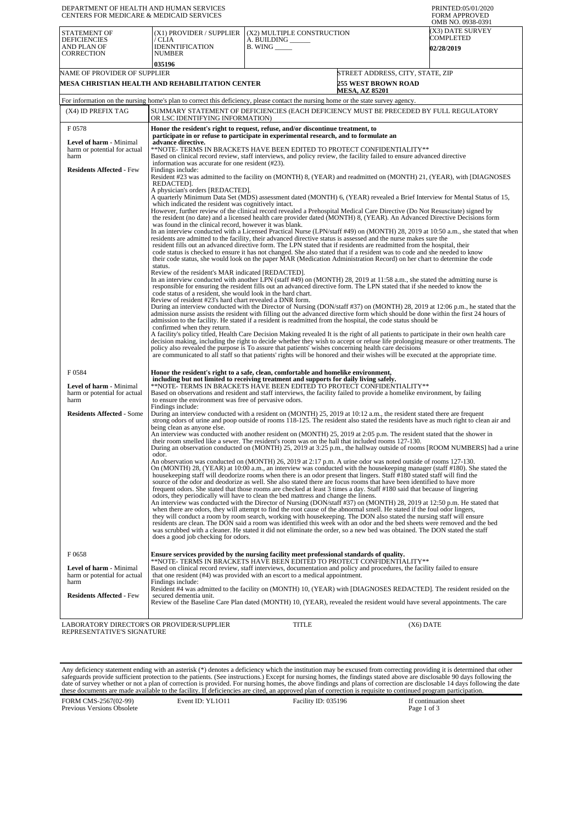| DEPARTMENT OF HEALTH AND HUMAN SERVICES<br><b>CENTERS FOR MEDICARE &amp; MEDICAID SERVICES</b> |                                                                                                                                                                                                                                                                                                                                                                                          |                                                                                                                      |                                  | PRINTED:05/01/2020<br><b>FORM APPROVED</b><br>OMB NO. 0938-0391 |  |  |  |
|------------------------------------------------------------------------------------------------|------------------------------------------------------------------------------------------------------------------------------------------------------------------------------------------------------------------------------------------------------------------------------------------------------------------------------------------------------------------------------------------|----------------------------------------------------------------------------------------------------------------------|----------------------------------|-----------------------------------------------------------------|--|--|--|
| STATEMENT OF                                                                                   | (X1) PROVIDER / SUPPLIER                                                                                                                                                                                                                                                                                                                                                                 | (X2) MULTIPLE CONSTRUCTION                                                                                           |                                  | <b>X3) DATE SURVEY</b><br>COMPLETED                             |  |  |  |
| <b>DEFICIENCIES</b><br>AND PLAN OF                                                             | / CLIA<br><b>IDENNTIFICATION</b>                                                                                                                                                                                                                                                                                                                                                         | A. BUILDING<br>$B.$ WING $\_\_\_\_\$                                                                                 |                                  | 02/28/2019                                                      |  |  |  |
| <b>CORRECTION</b>                                                                              | <b>NUMBER</b>                                                                                                                                                                                                                                                                                                                                                                            |                                                                                                                      |                                  |                                                                 |  |  |  |
| NAME OF PROVIDER OF SUPPLIER                                                                   | 035196                                                                                                                                                                                                                                                                                                                                                                                   |                                                                                                                      | STREET ADDRESS, CITY, STATE, ZIP |                                                                 |  |  |  |
|                                                                                                | MESA CHRISTIAN HEALTH AND REHABILITATION CENTER                                                                                                                                                                                                                                                                                                                                          |                                                                                                                      | <b>255 WEST BROWN ROAD</b>       |                                                                 |  |  |  |
|                                                                                                | For information on the nursing home's plan to correct this deficiency, please contact the nursing home or the state survey agency.                                                                                                                                                                                                                                                       |                                                                                                                      | <b>MESA, AZ 85201</b>            |                                                                 |  |  |  |
| (X4) ID PREFIX TAG                                                                             | SUMMARY STATEMENT OF DEFICIENCIES (EACH DEFICIENCY MUST BE PRECEDED BY FULL REGULATORY                                                                                                                                                                                                                                                                                                   |                                                                                                                      |                                  |                                                                 |  |  |  |
|                                                                                                | OR LSC IDENTIFYING INFORMATION)                                                                                                                                                                                                                                                                                                                                                          |                                                                                                                      |                                  |                                                                 |  |  |  |
| F0578                                                                                          | Honor the resident's right to request, refuse, and/or discontinue treatment, to<br>participate in or refuse to participate in experimental research, and to formulate an                                                                                                                                                                                                                 |                                                                                                                      |                                  |                                                                 |  |  |  |
| <b>Level of harm - Minimal</b><br>harm or potential for actual                                 | advance directive.<br>**NOTE- TERMS IN BRACKETS HAVE BEEN EDITED TO PROTECT CONFIDENTIALITY**                                                                                                                                                                                                                                                                                            |                                                                                                                      |                                  |                                                                 |  |  |  |
| harm                                                                                           | Based on clinical record review, staff interviews, and policy review, the facility failed to ensure advanced directive                                                                                                                                                                                                                                                                   |                                                                                                                      |                                  |                                                                 |  |  |  |
| <b>Residents Affected - Few</b>                                                                | information was accurate for one resident (#23).<br>Findings include:                                                                                                                                                                                                                                                                                                                    |                                                                                                                      |                                  |                                                                 |  |  |  |
|                                                                                                | REDACTED].                                                                                                                                                                                                                                                                                                                                                                               | Resident #23 was admitted to the facility on (MONTH) 8, (YEAR) and readmitted on (MONTH) 21, (YEAR), with [DIAGNOSES |                                  |                                                                 |  |  |  |
|                                                                                                | A physician's orders [REDACTED].<br>A quarterly Minimum Data Set (MDS) assessment dated (MONTH) 6, (YEAR) revealed a Brief Interview for Mental Status of 15,                                                                                                                                                                                                                            |                                                                                                                      |                                  |                                                                 |  |  |  |
|                                                                                                | which indicated the resident was cognitively intact.                                                                                                                                                                                                                                                                                                                                     |                                                                                                                      |                                  |                                                                 |  |  |  |
|                                                                                                | However, further review of the clinical record revealed a Prehospital Medical Care Directive (Do Not Resuscitate) signed by<br>the resident (no date) and a licensed health care provider dated (MONTH) 8, (YEAR). An Advanced Directive Decisions form                                                                                                                                  |                                                                                                                      |                                  |                                                                 |  |  |  |
|                                                                                                | was found in the clinical record, however it was blank.<br>In an interview conducted with a Licensed Practical Nurse (LPN/staff #49) on (MONTH) 28, 2019 at 10:50 a.m., she stated that when                                                                                                                                                                                             |                                                                                                                      |                                  |                                                                 |  |  |  |
|                                                                                                | residents are admitted to the facility, their advanced directive status is assessed and the nurse makes sure the<br>resident fills out an advanced directive form. The LPN stated that if residents are readmitted from the hospital, their                                                                                                                                              |                                                                                                                      |                                  |                                                                 |  |  |  |
|                                                                                                | code status is checked to ensure it has not changed. She also stated that if a resident was to code and she needed to know<br>their code status, she would look on the paper MAR (Medication Administration Record) on her chart to determine the code                                                                                                                                   |                                                                                                                      |                                  |                                                                 |  |  |  |
|                                                                                                | status.                                                                                                                                                                                                                                                                                                                                                                                  |                                                                                                                      |                                  |                                                                 |  |  |  |
|                                                                                                | Review of the resident's MAR indicated [REDACTED].<br>In an interview conducted with another LPN (staff #49) on (MONTH) 28, 2019 at 11:58 a.m., she stated the admitting nurse is                                                                                                                                                                                                        |                                                                                                                      |                                  |                                                                 |  |  |  |
|                                                                                                | responsible for ensuring the resident fills out an advanced directive form. The LPN stated that if she needed to know the<br>code status of a resident, she would look in the hard chart.                                                                                                                                                                                                |                                                                                                                      |                                  |                                                                 |  |  |  |
|                                                                                                | Review of resident #23's hard chart revealed a DNR form.                                                                                                                                                                                                                                                                                                                                 |                                                                                                                      |                                  |                                                                 |  |  |  |
|                                                                                                | During an interview conducted with the Director of Nursing (DON/staff #37) on (MONTH) 28, 2019 at 12:06 p.m., he stated that the<br>admission nurse assists the resident with filling out the advanced directive form which should be done within the first 24 hours of<br>admission to the facility. He stated if a resident is readmitted from the hospital, the code status should be |                                                                                                                      |                                  |                                                                 |  |  |  |
|                                                                                                | confirmed when they return.                                                                                                                                                                                                                                                                                                                                                              |                                                                                                                      |                                  |                                                                 |  |  |  |
|                                                                                                | A facility's policy titled, Health Care Decision Making revealed It is the right of all patients to participate in their own health care<br>decision making, including the right to decide whether they wish to accept or refuse life prolonging measure or other treatments. The                                                                                                        |                                                                                                                      |                                  |                                                                 |  |  |  |
|                                                                                                | policy also revealed the purpose is To assure that patients' wishes concerning health care decisions<br>are communicated to all staff so that patients' rights will be honored and their wishes will be executed at the appropriate time.                                                                                                                                                |                                                                                                                      |                                  |                                                                 |  |  |  |
|                                                                                                |                                                                                                                                                                                                                                                                                                                                                                                          |                                                                                                                      |                                  |                                                                 |  |  |  |
| F0584                                                                                          | Honor the resident's right to a safe, clean, comfortable and homelike environment,<br>including but not limited to receiving treatment and supports for daily living safely.                                                                                                                                                                                                             |                                                                                                                      |                                  |                                                                 |  |  |  |
| Level of harm - Minimal<br>harm or potential for actual                                        | **NOTE- TERMS IN BRACKETS HAVE BEEN EDITED TO PROTECT CONFIDENTIALITY**<br>Based on observations and resident and staff interviews, the facility failed to provide a homelike environment, by failing                                                                                                                                                                                    |                                                                                                                      |                                  |                                                                 |  |  |  |
| harm                                                                                           | to ensure the environment was free of pervasive odors.<br>Findings include:                                                                                                                                                                                                                                                                                                              |                                                                                                                      |                                  |                                                                 |  |  |  |
| <b>Residents Affected - Some</b>                                                               | During an interview conducted with a resident on (MONTH) 25, 2019 at 10:12 a.m., the resident stated there are frequent<br>strong odors of urine and poop outside of rooms 118-125. The resident also stated the residents have as much right to clean air and                                                                                                                           |                                                                                                                      |                                  |                                                                 |  |  |  |
|                                                                                                | being clean as anyone else.                                                                                                                                                                                                                                                                                                                                                              |                                                                                                                      |                                  |                                                                 |  |  |  |
|                                                                                                | An interview was conducted with another resident on (MONTH) 25, 2019 at 2:05 p.m. The resident stated that the shower in<br>their room smelled like a sewer. The resident's room was on the hall that included rooms 127-130.                                                                                                                                                            |                                                                                                                      |                                  |                                                                 |  |  |  |
|                                                                                                | During an observation conducted on (MONTH) 25, 2019 at 3:25 p.m., the hallway outside of rooms [ROOM NUMBERS] had a urine<br>odor.                                                                                                                                                                                                                                                       |                                                                                                                      |                                  |                                                                 |  |  |  |
|                                                                                                | An observation was conducted on (MONTH) 26, 2019 at 2:17 p.m. A urine odor was noted outside of rooms 127-130.<br>On (MONTH) 28, (YEAR) at 10:00 a.m., an interview was conducted with the housekeeping manager (staff #180). She stated the                                                                                                                                             |                                                                                                                      |                                  |                                                                 |  |  |  |
|                                                                                                | housekeeping staff will deodorize rooms when there is an odor present that lingers. Staff #180 stated staff will find the                                                                                                                                                                                                                                                                |                                                                                                                      |                                  |                                                                 |  |  |  |
|                                                                                                | source of the odor and deodorize as well. She also stated there are focus rooms that have been identified to have more<br>frequent odors. She stated that those rooms are checked at least 3 times a day. Staff #180 said that because of lingering                                                                                                                                      |                                                                                                                      |                                  |                                                                 |  |  |  |
|                                                                                                | odors, they periodically will have to clean the bed mattress and change the linens.<br>An interview was conducted with the Director of Nursing (DON/staff #37) on (MONTH) 28, 2019 at 12:50 p.m. He stated that                                                                                                                                                                          |                                                                                                                      |                                  |                                                                 |  |  |  |
|                                                                                                | when there are odors, they will attempt to find the root cause of the abnormal smell. He stated if the foul odor lingers,<br>they will conduct a room by room search, working with housekeeping. The DON also stated the nursing staff will ensure                                                                                                                                       |                                                                                                                      |                                  |                                                                 |  |  |  |
|                                                                                                | residents are clean. The DON said a room was identified this week with an odor and the bed sheets were removed and the bed<br>was scrubbed with a cleaner. He stated it did not eliminate the order, so a new bed was obtained. The DON stated the staff                                                                                                                                 |                                                                                                                      |                                  |                                                                 |  |  |  |
|                                                                                                | does a good job checking for odors.                                                                                                                                                                                                                                                                                                                                                      |                                                                                                                      |                                  |                                                                 |  |  |  |
| F0658                                                                                          | Ensure services provided by the nursing facility meet professional standards of quality.                                                                                                                                                                                                                                                                                                 |                                                                                                                      |                                  |                                                                 |  |  |  |
|                                                                                                | **NOTE- TERMS IN BRAČKETS HAVĒ BEEN EDITĒD TO PROTECT CONFIDENTIALITY**                                                                                                                                                                                                                                                                                                                  |                                                                                                                      |                                  |                                                                 |  |  |  |
| Level of harm - Minimal<br>harm or potential for actual                                        | Based on clinical record review, staff interviews, documentation and policy and procedures, the facility failed to ensure<br>that one resident (#4) was provided with an escort to a medical appointment.                                                                                                                                                                                |                                                                                                                      |                                  |                                                                 |  |  |  |
| harm                                                                                           | Findings include:<br>Resident #4 was admitted to the facility on (MONTH) 10, (YEAR) with [DIAGNOSES REDACTED]. The resident resided on the                                                                                                                                                                                                                                               |                                                                                                                      |                                  |                                                                 |  |  |  |
| <b>Residents Affected - Few</b>                                                                | secured dementia unit.<br>Review of the Baseline Care Plan dated (MONTH) 10, (YEAR), revealed the resident would have several appointments. The care                                                                                                                                                                                                                                     |                                                                                                                      |                                  |                                                                 |  |  |  |
|                                                                                                |                                                                                                                                                                                                                                                                                                                                                                                          |                                                                                                                      |                                  |                                                                 |  |  |  |
| LABORATORY DIRECTOR'S OR PROVIDER/SUPPLIER<br>REPRESENTATIVE'S SIGNATURE                       |                                                                                                                                                                                                                                                                                                                                                                                          | TITLE                                                                                                                | (X6) DATE                        |                                                                 |  |  |  |

Any deficiency statement ending with an asterisk (\*) denotes a deficiency which the institution may be excused from correcting providing it is determined that other safeguards provide sufficient protection to the patients.

FORM CMS-2567(02-99) Previous Versions Obsolete Event ID: YL1O11 Facility ID: 035196 If continuation sheet<br>Page 1 of 3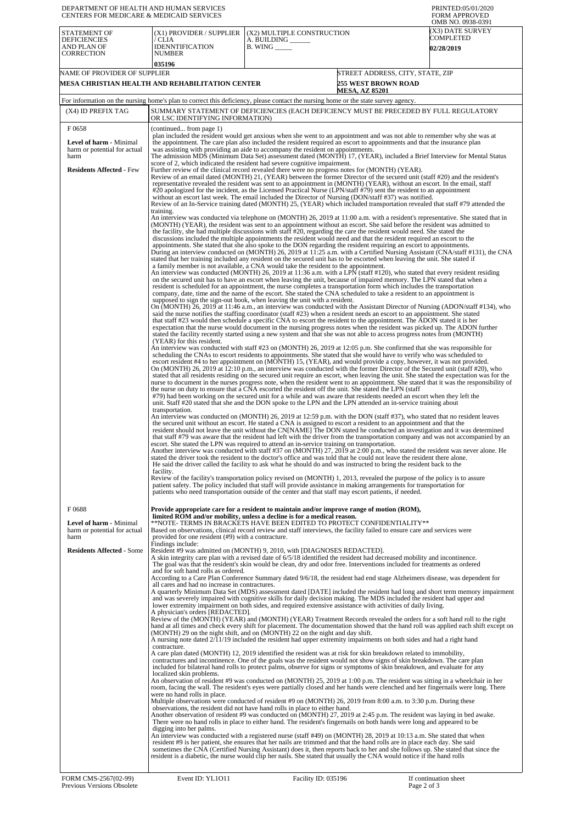| DEPARTMENT OF HEALTH AND HUMAN SERVICES<br>CENTERS FOR MEDICARE & MEDICAID SERVICES                    |                                                                                                                                                                                                                                                                                                                                                                                                                                                                                                                                                                                                                                                                                                                                                                                                                                                                                                                                                                                                                                                                                                                                                                    |                                                                                                                                                                                                                                                                                                                                                                                                                                                                                                                                                                                                                                                                                                                                                                                                                                                                                                                                                                                                                                                                                                                                                                                                                                                                                                                                                                                                                                                | PRINTED:05/01/2020<br><b>FORM APPROVED</b>                             |  |  |  |
|--------------------------------------------------------------------------------------------------------|--------------------------------------------------------------------------------------------------------------------------------------------------------------------------------------------------------------------------------------------------------------------------------------------------------------------------------------------------------------------------------------------------------------------------------------------------------------------------------------------------------------------------------------------------------------------------------------------------------------------------------------------------------------------------------------------------------------------------------------------------------------------------------------------------------------------------------------------------------------------------------------------------------------------------------------------------------------------------------------------------------------------------------------------------------------------------------------------------------------------------------------------------------------------|------------------------------------------------------------------------------------------------------------------------------------------------------------------------------------------------------------------------------------------------------------------------------------------------------------------------------------------------------------------------------------------------------------------------------------------------------------------------------------------------------------------------------------------------------------------------------------------------------------------------------------------------------------------------------------------------------------------------------------------------------------------------------------------------------------------------------------------------------------------------------------------------------------------------------------------------------------------------------------------------------------------------------------------------------------------------------------------------------------------------------------------------------------------------------------------------------------------------------------------------------------------------------------------------------------------------------------------------------------------------------------------------------------------------------------------------|------------------------------------------------------------------------|--|--|--|
| <b>STATEMENT OF</b><br><b>DEFICIENCIES</b><br>AND PLAN OF                                              | (X1) PROVIDER / SUPPLIER<br>/ CLIA<br><b>IDENNTIFICATION</b>                                                                                                                                                                                                                                                                                                                                                                                                                                                                                                                                                                                                                                                                                                                                                                                                                                                                                                                                                                                                                                                                                                       | (X2) MULTIPLE CONSTRUCTION<br>A. BUILDING ______<br>$B.$ WING $\_\_\_\_\_\_\_\$                                                                                                                                                                                                                                                                                                                                                                                                                                                                                                                                                                                                                                                                                                                                                                                                                                                                                                                                                                                                                                                                                                                                                                                                                                                                                                                                                                | OMB NO. 0938-0391<br>X3) DATE SURVEY<br>COMPLETED<br><b>02/28/2019</b> |  |  |  |
| <b>CORRECTION</b>                                                                                      | <b>NUMBER</b><br>035196                                                                                                                                                                                                                                                                                                                                                                                                                                                                                                                                                                                                                                                                                                                                                                                                                                                                                                                                                                                                                                                                                                                                            |                                                                                                                                                                                                                                                                                                                                                                                                                                                                                                                                                                                                                                                                                                                                                                                                                                                                                                                                                                                                                                                                                                                                                                                                                                                                                                                                                                                                                                                |                                                                        |  |  |  |
| NAME OF PROVIDER OF SUPPLIER                                                                           |                                                                                                                                                                                                                                                                                                                                                                                                                                                                                                                                                                                                                                                                                                                                                                                                                                                                                                                                                                                                                                                                                                                                                                    |                                                                                                                                                                                                                                                                                                                                                                                                                                                                                                                                                                                                                                                                                                                                                                                                                                                                                                                                                                                                                                                                                                                                                                                                                                                                                                                                                                                                                                                | STREET ADDRESS, CITY, STATE, ZIP                                       |  |  |  |
| MESA CHRISTIAN HEALTH AND REHABILITATION CENTER<br><b>255 WEST BROWN ROAD</b><br><b>MESA, AZ 85201</b> |                                                                                                                                                                                                                                                                                                                                                                                                                                                                                                                                                                                                                                                                                                                                                                                                                                                                                                                                                                                                                                                                                                                                                                    |                                                                                                                                                                                                                                                                                                                                                                                                                                                                                                                                                                                                                                                                                                                                                                                                                                                                                                                                                                                                                                                                                                                                                                                                                                                                                                                                                                                                                                                |                                                                        |  |  |  |
|                                                                                                        |                                                                                                                                                                                                                                                                                                                                                                                                                                                                                                                                                                                                                                                                                                                                                                                                                                                                                                                                                                                                                                                                                                                                                                    | For information on the nursing home's plan to correct this deficiency, please contact the nursing home or the state survey agency.                                                                                                                                                                                                                                                                                                                                                                                                                                                                                                                                                                                                                                                                                                                                                                                                                                                                                                                                                                                                                                                                                                                                                                                                                                                                                                             |                                                                        |  |  |  |
| (X4) ID PREFIX TAG                                                                                     | OR LSC IDENTIFYING INFORMATION)                                                                                                                                                                                                                                                                                                                                                                                                                                                                                                                                                                                                                                                                                                                                                                                                                                                                                                                                                                                                                                                                                                                                    | SUMMARY STATEMENT OF DEFICIENCIES (EACH DEFICIENCY MUST BE PRECEDED BY FULL REGULATORY                                                                                                                                                                                                                                                                                                                                                                                                                                                                                                                                                                                                                                                                                                                                                                                                                                                                                                                                                                                                                                                                                                                                                                                                                                                                                                                                                         |                                                                        |  |  |  |
| F0658                                                                                                  | (continued from page 1)                                                                                                                                                                                                                                                                                                                                                                                                                                                                                                                                                                                                                                                                                                                                                                                                                                                                                                                                                                                                                                                                                                                                            |                                                                                                                                                                                                                                                                                                                                                                                                                                                                                                                                                                                                                                                                                                                                                                                                                                                                                                                                                                                                                                                                                                                                                                                                                                                                                                                                                                                                                                                |                                                                        |  |  |  |
| <b>Level of harm - Minimal</b><br>harm or potential for actual<br>harm                                 |                                                                                                                                                                                                                                                                                                                                                                                                                                                                                                                                                                                                                                                                                                                                                                                                                                                                                                                                                                                                                                                                                                                                                                    | plan included the resident would get anxious when she went to an appointment and was not able to remember why she was at<br>the appointment. The care plan also included the resident required an escort to appointments and that the insurance plan<br>was assisting with providing an aide to accompany the resident on appointments.<br>The admission MDS (Minimum Data Set) assessment dated (MONTH) 17, (YEAR), included a Brief Interview for Mental Status                                                                                                                                                                                                                                                                                                                                                                                                                                                                                                                                                                                                                                                                                                                                                                                                                                                                                                                                                                              |                                                                        |  |  |  |
| <b>Residents Affected - Few</b>                                                                        | training.                                                                                                                                                                                                                                                                                                                                                                                                                                                                                                                                                                                                                                                                                                                                                                                                                                                                                                                                                                                                                                                                                                                                                          | score of 2, which indicated the resident had severe cognitive impairment.<br>Further review of the clinical record revealed there were no progress notes for (MONTH) (YEAR).<br>Review of an email dated (MONTH) 21, (YEAR) between the former Director of the secured unit (staff #20) and the resident's<br>representative revealed the resident was sent to an appointment in (MONTH) (YEAR), without an escort. In the email, staff<br>#20 apologized for the incident, as the Licensed Practical Nurse (LPN/staff #79) sent the resident to an appointment<br>without an escort last week. The email included the Director of Nursing (DON/staff #37) was notified.<br>Review of an In-Service training dated (MONTH) 25, (YEAR) which included transportation revealed that staff #79 attended the<br>An interview was conducted via telephone on (MONTH) 26, 2019 at 11:00 a.m. with a resident's representative. She stated that in                                                                                                                                                                                                                                                                                                                                                                                                                                                                                                    |                                                                        |  |  |  |
|                                                                                                        |                                                                                                                                                                                                                                                                                                                                                                                                                                                                                                                                                                                                                                                                                                                                                                                                                                                                                                                                                                                                                                                                                                                                                                    | (MONTH) (YEAR), the resident was sent to an appointment without an escort. She said before the resident was admitted to<br>the facility, she had multiple discussions with staff #20, regarding the care the resident would need. She stated the<br>discussions included the multiple appointments the resident would need and that the resident required an escort to the<br>appointments. She stated that she also spoke to the DON regarding the resident requiring an escort to appointments.<br>During an interview conducted on (MONTH) 26, 2019 at 11:25 a.m. with a Certified Nursing Assistant (CNA/staff #131), the CNA<br>stated that her training included any resident on the secured unit has to be escorted when leaving the unit. She stated if<br>a family member is not available, a CNA would take the resident to the appointment.<br>An interview was conducted (MONTH) 26, 2019 at 11:36 a.m. with a LPN (staff #120), who stated that every resident residing<br>on the secured unit has to have an escort when leaving the unit, because of impaired memory. The LPN stated that when a<br>resident is scheduled for an appointment, the nurse completes a transportation form which includes the transportation<br>company, date, time and the name of the escort. She stated the CNA scheduled to take a resident to an appointment is<br>supposed to sign the sign-out book, when leaving the unit with a resident. |                                                                        |  |  |  |
|                                                                                                        | (YEAR) for this resident.                                                                                                                                                                                                                                                                                                                                                                                                                                                                                                                                                                                                                                                                                                                                                                                                                                                                                                                                                                                                                                                                                                                                          | On (MONTH) 26, 2019 at 11:46 a.m., an interview was conducted with the Assistant Director of Nursing (ADON/staff #134), who<br>said the nurse notifies the staffing coordinator (staff #23) when a resident needs an escort to an appointment. She stated<br>that staff #23 would then schedule a specific CNA to escort the resident to the appointment. The ADON stated it is her<br>expectation that the nurse would document in the nursing progress notes when the resident was picked up. The ADON further<br>stated the facility recently started using a new system and that she was not able to access progress notes from (MONTH)                                                                                                                                                                                                                                                                                                                                                                                                                                                                                                                                                                                                                                                                                                                                                                                                    |                                                                        |  |  |  |
|                                                                                                        | An interview was conducted with staff #23 on (MONTH) 26, 2019 at 12:05 p.m. She confirmed that she was responsible for<br>scheduling the CNAs to escort residents to appointments. She stated that she would have to verify who was scheduled to<br>escort resident #4 to her appointment on (MONTH) 15, (YEAR), and would provide a copy, however, it was not provided.<br>On (MONTH) 26, 2019 at 12:10 p.m., an interview was conducted with the former Director of the Secured unit (staff #20), who<br>stated that all residents residing on the secured unit require an escort, when leaving the unit. She stated the expectation was for the<br>nurse to document in the nurses progress note, when the resident went to an appointment. She stated that it was the responsibility of<br>the nurse on duty to ensure that a CNA escorted the resident off the unit. She stated the LPN (staff<br>#79) had been working on the secured unit for a while and was aware that residents needed an escort when they left the<br>unit. Staff #20 stated that she and the DON spoke to the LPN and the LPN attended an in-service training about<br>transportation. |                                                                                                                                                                                                                                                                                                                                                                                                                                                                                                                                                                                                                                                                                                                                                                                                                                                                                                                                                                                                                                                                                                                                                                                                                                                                                                                                                                                                                                                |                                                                        |  |  |  |
|                                                                                                        | facility.                                                                                                                                                                                                                                                                                                                                                                                                                                                                                                                                                                                                                                                                                                                                                                                                                                                                                                                                                                                                                                                                                                                                                          | An interview was conducted on (MONTH) 26, 2019 at 12:59 p.m. with the DON (staff #37), who stated that no resident leaves<br>the secured unit without an escort. He stated a CNA is assigned to escort a resident to an appointment and that the<br>resident should not leave the unit without the CN[NAME] The DON stated he conducted an investigation and it was determined<br>that staff #79 was aware that the resident had left with the driver from the transportation company and was not accompanied by an<br>escort. She stated the LPN was required to attend an in-service training on transportation.<br>Another interview was conducted with staff #37 on (MONTH) 27, 2019 at 2:00 p.m., who stated the resident was never alone. He<br>stated the driver took the resident to the doctor's office and was told that he could not leave the resident there alone.<br>He said the driver called the facility to ask what he should do and was instructed to bring the resident back to the                                                                                                                                                                                                                                                                                                                                                                                                                                        |                                                                        |  |  |  |
|                                                                                                        |                                                                                                                                                                                                                                                                                                                                                                                                                                                                                                                                                                                                                                                                                                                                                                                                                                                                                                                                                                                                                                                                                                                                                                    | Review of the facility's transportation policy revised on (MONTH) 1, 2013, revealed the purpose of the policy is to assure<br>patient safety. The policy included that staff will provide assistance in making arrangements for transportation for<br>patients who need transportation outside of the center and that staff may escort patients, if needed.                                                                                                                                                                                                                                                                                                                                                                                                                                                                                                                                                                                                                                                                                                                                                                                                                                                                                                                                                                                                                                                                                    |                                                                        |  |  |  |
| F0688<br>Level of harm - Minimal<br>harm or potential for actual                                       |                                                                                                                                                                                                                                                                                                                                                                                                                                                                                                                                                                                                                                                                                                                                                                                                                                                                                                                                                                                                                                                                                                                                                                    | Provide appropriate care for a resident to maintain and/or improve range of motion (ROM),<br>limited ROM and/or mobility, unless a decline is for a medical reason.<br>**NOTE- TERMS IN BRACKETS HAVE BEEN EDITED TO PROTECT CONFIDENTIALITY**<br>Based on observations, clinical record review and staff interviews, the facility failed to ensure care and services were                                                                                                                                                                                                                                                                                                                                                                                                                                                                                                                                                                                                                                                                                                                                                                                                                                                                                                                                                                                                                                                                     |                                                                        |  |  |  |
| harm<br><b>Residents Affected - Some</b>                                                               | provided for one resident (#9) with a contracture.<br>Findings include:<br>and for soft hand rolls as ordered.                                                                                                                                                                                                                                                                                                                                                                                                                                                                                                                                                                                                                                                                                                                                                                                                                                                                                                                                                                                                                                                     | Resident #9 was admitted on (MONTH) 9, 2010, with [DIAGNOSES REDACTED].<br>A skin integrity care plan with a revised date of 6/5/18 identified the resident had decreased mobility and incontinence.<br>The goal was that the resident's skin would be clean, dry and odor free. Interventions included for treatments as ordered                                                                                                                                                                                                                                                                                                                                                                                                                                                                                                                                                                                                                                                                                                                                                                                                                                                                                                                                                                                                                                                                                                              |                                                                        |  |  |  |
|                                                                                                        | all cares and had no increase in contractures.                                                                                                                                                                                                                                                                                                                                                                                                                                                                                                                                                                                                                                                                                                                                                                                                                                                                                                                                                                                                                                                                                                                     | According to a Care Plan Conference Summary dated 9/6/18, the resident had end stage Alzheimers disease, was dependent for<br>A quarterly Minimum Data Set (MDS) assessment dated [DATE] included the resident had long and short term memory impairment<br>and was severely impaired with cognitive skills for daily decision making. The MDS included the resident had upper and<br>lower extremity impairment on both sides, and required extensive assistance with activities of daily living.                                                                                                                                                                                                                                                                                                                                                                                                                                                                                                                                                                                                                                                                                                                                                                                                                                                                                                                                             |                                                                        |  |  |  |
|                                                                                                        | A physician's orders [REDACTED].<br>contracture.                                                                                                                                                                                                                                                                                                                                                                                                                                                                                                                                                                                                                                                                                                                                                                                                                                                                                                                                                                                                                                                                                                                   | Review of the (MONTH) (YEAR) and (MONTH) (YEAR) Treatment Records revealed the orders for a soft hand roll to the right<br>hand at all times and check every shift for placement. The documentation showed that the hand roll was applied each shift except on<br>(MONTH) 29 on the night shift, and on (MONTH) 22 on the night and day shift.<br>A nursing note dated 2/11/19 included the resident had upper extremity impairments on both sides and had a right hand                                                                                                                                                                                                                                                                                                                                                                                                                                                                                                                                                                                                                                                                                                                                                                                                                                                                                                                                                                        |                                                                        |  |  |  |
|                                                                                                        | localized skin problems.                                                                                                                                                                                                                                                                                                                                                                                                                                                                                                                                                                                                                                                                                                                                                                                                                                                                                                                                                                                                                                                                                                                                           | A care plan dated (MONTH) 12, 2019 identified the resident was at risk for skin breakdown related to immobility,<br>contractures and incontinence. One of the goals was the resident would not show signs of skin breakdown. The care plan<br>included for bilateral hand rolls to protect palms, observe for signs or symptoms of skin breakdown, and evaluate for any                                                                                                                                                                                                                                                                                                                                                                                                                                                                                                                                                                                                                                                                                                                                                                                                                                                                                                                                                                                                                                                                        |                                                                        |  |  |  |
|                                                                                                        | An observation of resident #9 was conducted on (MONTH) 25, 2019 at 1:00 p.m. The resident was sitting in a wheelchair in her<br>room, facing the wall. The resident's eyes were partially closed and her hands were clenched and her fingernails were long. There<br>were no hand rolls in place.<br>Multiple observations were conducted of resident #9 on (MONTH) 26, 2019 from 8:00 a.m. to 3:30 p.m. During these<br>observations, the resident did not have hand rolls in place to either hand.                                                                                                                                                                                                                                                                                                                                                                                                                                                                                                                                                                                                                                                               |                                                                                                                                                                                                                                                                                                                                                                                                                                                                                                                                                                                                                                                                                                                                                                                                                                                                                                                                                                                                                                                                                                                                                                                                                                                                                                                                                                                                                                                |                                                                        |  |  |  |
|                                                                                                        | Another observation of resident #9 was conducted on (MONTH) 27, 2019 at 2:45 p.m. The resident was laying in bed awake.<br>There were no hand rolls in place to either hand. The resident's fingernails on both hands were long and appeared to be<br>digging into her palms.<br>An interview was conducted with a registered nurse (staff #49) on (MONTH) 28, 2019 at 10:13 a.m. She stated that when<br>resident #9 is her patient, she ensures that her nails are trimmed and that the hand rolls are in place each day. She said<br>sometimes the CNA (Certified Nursing Assistant) does it, then reports back to her and she follows up. She stated that since the<br>resident is a diabetic, the nurse would clip her nails. She stated that usually the CNA would notice if the hand rolls                                                                                                                                                                                                                                                                                                                                                                  |                                                                                                                                                                                                                                                                                                                                                                                                                                                                                                                                                                                                                                                                                                                                                                                                                                                                                                                                                                                                                                                                                                                                                                                                                                                                                                                                                                                                                                                |                                                                        |  |  |  |
| FORM CMS-2567(02-99)                                                                                   | Event ID: YL1011                                                                                                                                                                                                                                                                                                                                                                                                                                                                                                                                                                                                                                                                                                                                                                                                                                                                                                                                                                                                                                                                                                                                                   | Facility ID: 035196                                                                                                                                                                                                                                                                                                                                                                                                                                                                                                                                                                                                                                                                                                                                                                                                                                                                                                                                                                                                                                                                                                                                                                                                                                                                                                                                                                                                                            | If continuation sheet                                                  |  |  |  |